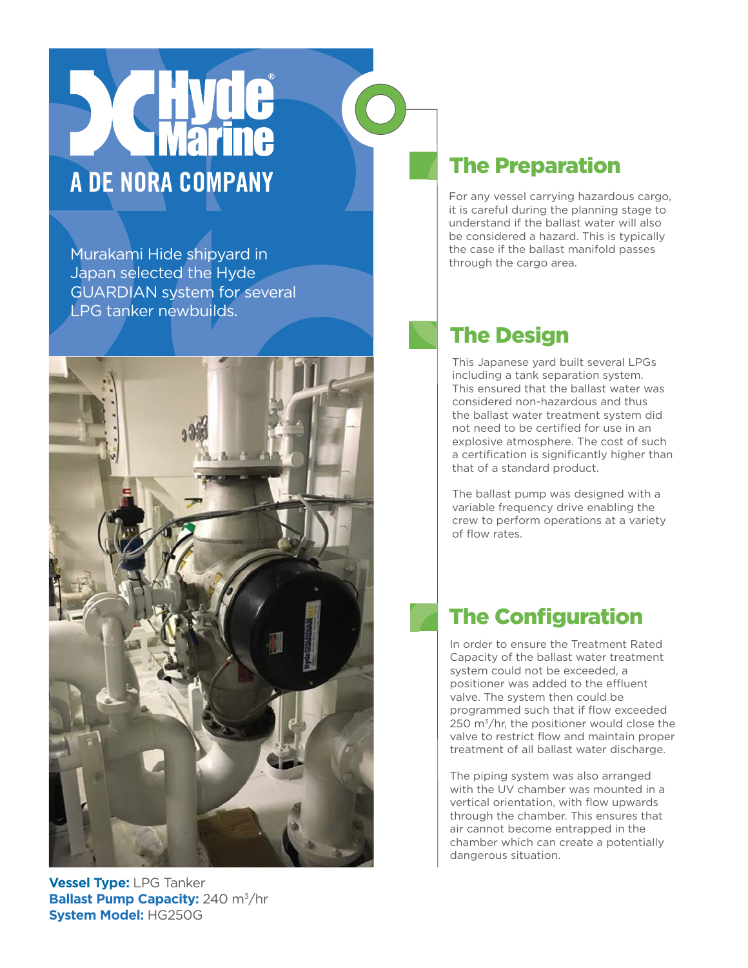# A DE NORA COMPANY

Murakami Hide shipyard in Japan selected the Hyde GUARDIAN system for several LPG tanker newbuilds.



### **Vessel Type:** LPG Tanker **Ballast Pump Capacity:** 240 m<sup>3</sup>/hr **System Model:** HG250G

## The Preparation

For any vessel carrying hazardous cargo, it is careful during the planning stage to understand if the ballast water will also be considered a hazard. This is typically the case if the ballast manifold passes through the cargo area.

# The Design

This Japanese yard built several LPGs including a tank separation system. This ensured that the ballast water was considered non-hazardous and thus the ballast water treatment system did not need to be certified for use in an explosive atmosphere. The cost of such a certification is significantly higher than that of a standard product.

The ballast pump was designed with a variable frequency drive enabling the crew to perform operations at a variety of flow rates.

### The Configuration

In order to ensure the Treatment Rated Capacity of the ballast water treatment system could not be exceeded, a positioner was added to the effluent valve. The system then could be programmed such that if flow exceeded 250 m<sup>3</sup>/hr, the positioner would close the valve to restrict flow and maintain proper treatment of all ballast water discharge.

The piping system was also arranged with the UV chamber was mounted in a vertical orientation, with flow upwards through the chamber. This ensures that air cannot become entrapped in the chamber which can create a potentially dangerous situation.